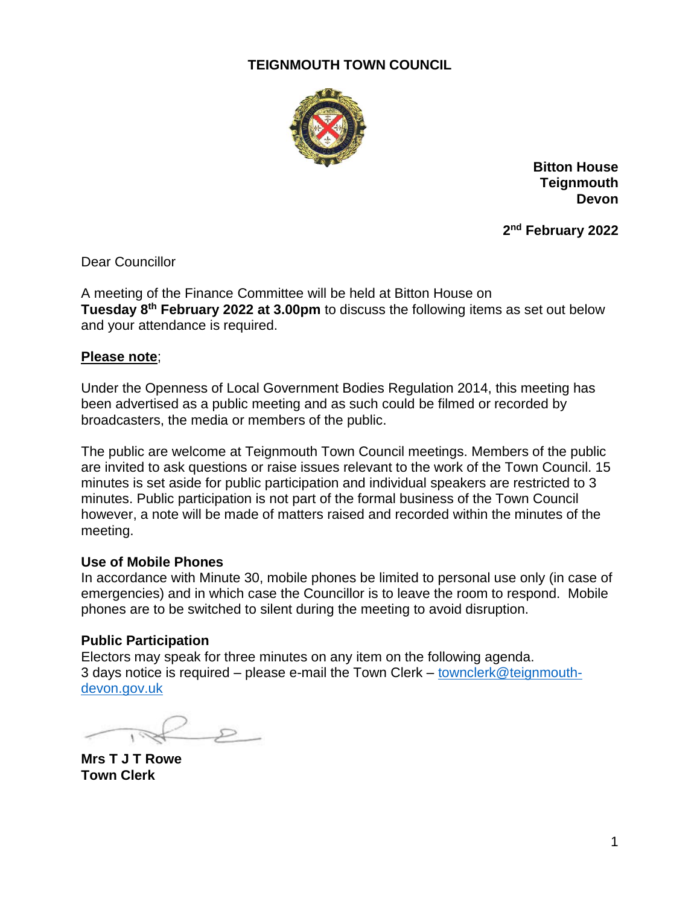# **TEIGNMOUTH TOWN COUNCIL**



**Bitton House Teignmouth Devon**

**2 nd February 2022**

Dear Councillor

A meeting of the Finance Committee will be held at Bitton House on **Tuesday 8th February 2022 at 3.00pm** to discuss the following items as set out below and your attendance is required.

### **Please note**;

Under the Openness of Local Government Bodies Regulation 2014, this meeting has been advertised as a public meeting and as such could be filmed or recorded by broadcasters, the media or members of the public.

The public are welcome at Teignmouth Town Council meetings. Members of the public are invited to ask questions or raise issues relevant to the work of the Town Council. 15 minutes is set aside for public participation and individual speakers are restricted to 3 minutes. Public participation is not part of the formal business of the Town Council however, a note will be made of matters raised and recorded within the minutes of the meeting.

# **Use of Mobile Phones**

In accordance with Minute 30, mobile phones be limited to personal use only (in case of emergencies) and in which case the Councillor is to leave the room to respond. Mobile phones are to be switched to silent during the meeting to avoid disruption.

# **Public Participation**

Electors may speak for three minutes on any item on the following agenda. 3 days notice is required – please e-mail the Town Clerk – [townclerk@teignmouth](mailto:townclerk@teignmouth-devon.gov.uk)[devon.gov.uk](mailto:townclerk@teignmouth-devon.gov.uk)

 $\mathcal{L}$ 

**Mrs T J T Rowe Town Clerk**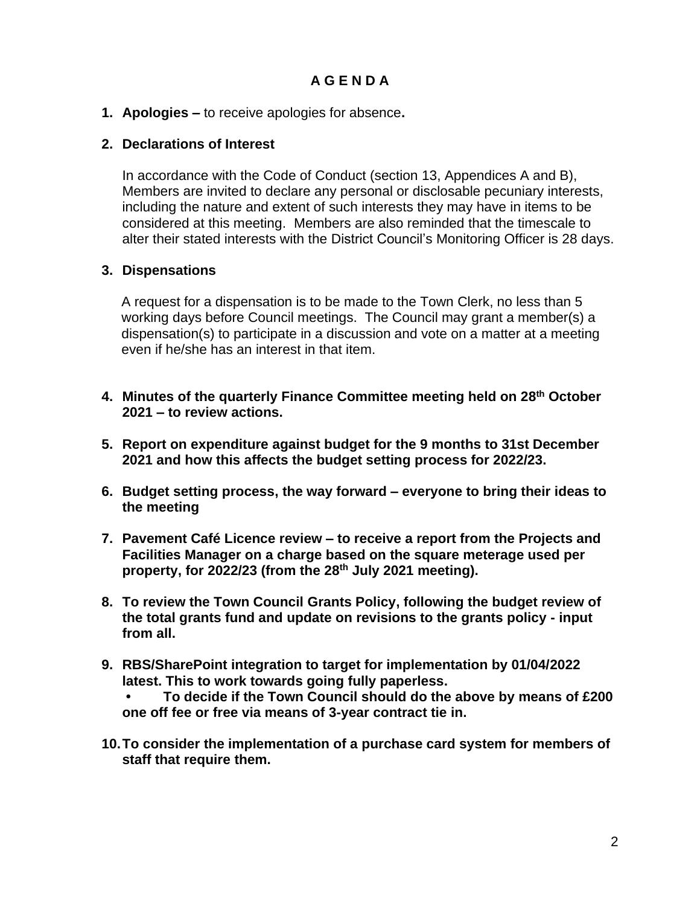**1. Apologies –** to receive apologies for absence**.**

## **2. Declarations of Interest**

In accordance with the Code of Conduct (section 13, Appendices A and B), Members are invited to declare any personal or disclosable pecuniary interests, including the nature and extent of such interests they may have in items to be considered at this meeting. Members are also reminded that the timescale to alter their stated interests with the District Council's Monitoring Officer is 28 days.

# **3. Dispensations**

A request for a dispensation is to be made to the Town Clerk, no less than 5 working days before Council meetings. The Council may grant a member(s) a dispensation(s) to participate in a discussion and vote on a matter at a meeting even if he/she has an interest in that item.

- **4. Minutes of the quarterly Finance Committee meeting held on 28 th October 2021 – to review actions.**
- **5. Report on expenditure against budget for the 9 months to 31st December 2021 and how this affects the budget setting process for 2022/23.**
- **6. Budget setting process, the way forward – everyone to bring their ideas to the meeting**
- **7. Pavement Café Licence review – to receive a report from the Projects and Facilities Manager on a charge based on the square meterage used per property, for 2022/23 (from the 28th July 2021 meeting).**
- **8. To review the Town Council Grants Policy, following the budget review of the total grants fund and update on revisions to the grants policy - input from all.**
- **9. RBS/SharePoint integration to target for implementation by 01/04/2022 latest. This to work towards going fully paperless.**

**• To decide if the Town Council should do the above by means of £200 one off fee or free via means of 3-year contract tie in.**

**10.To consider the implementation of a purchase card system for members of staff that require them.**